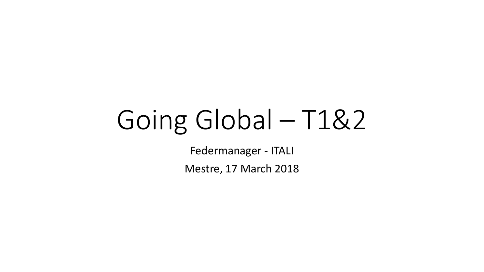## Going Global - T1&2

Federmanager - ITALI

Mestre, 17 March 2018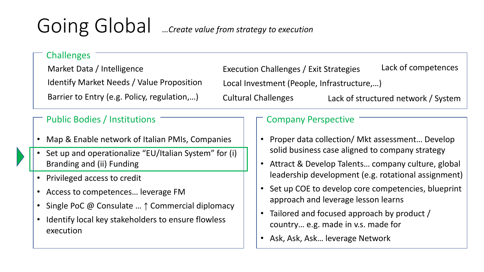## Going Global *…Create value from strategy to execution*

## Challenges Market Data / Intelligence Identify Market Needs / Value Proposition Barrier to Entry (e.g. Policy, regulation,…) Local Investment (People, Infrastructure,…) Execution Challenges / Exit Strategies Cultural Challenges Lack of competences Lack of structured network / System Public Bodies / Institutions Company Perspective • Map & Enable network of Italian PMIs, Companies • Proper data collection/ Mkt assessment… Develop solid business case aligned to company strategy

- Attract & Develop Talents… company culture, global leadership development (e.g. rotational assignment)
- Set up COE to develop core competencies, blueprint approach and leverage lesson learns
- Tailored and focused approach by product / country… e.g. made in v.s. made for
- Ask, Ask, Ask… leverage Network
- Set up and operationalize "EU/Italian System" for (i) Branding and (ii) Funding
- Privileged access to credit
- Access to competences… leverage FM
- Single PoC @ Consulate … ↑ Commercial diplomacy
- Identify local key stakeholders to ensure flowless execution